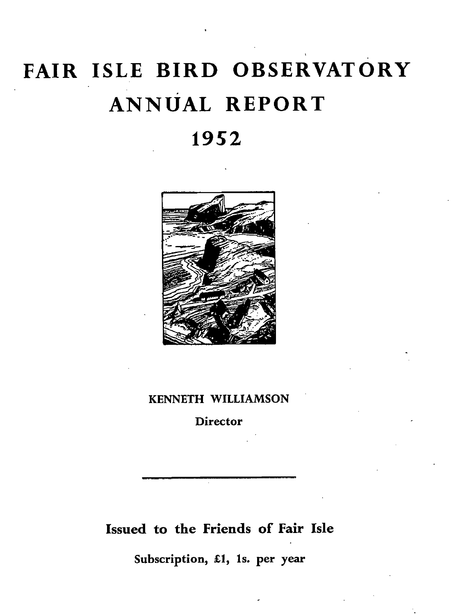# **FAIR ISLE BIRD OBSERVATORY ANNUAL REPORT**

# **1952**



#### KENNETH WILLIAMSON

**Director** 

# Issued to the Friends of Fair Isle

Subscription, £1, 1s. per year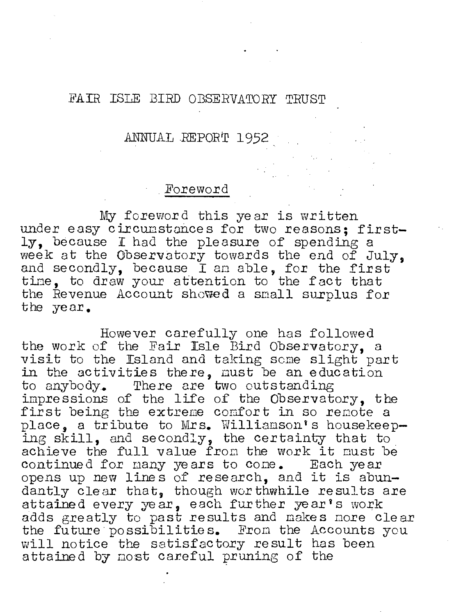#### FAIR ISLE BIRD OBSERVATORY TRUST

# ANNUAL REPORT 1952,

## Foreword

My foreword this year is written under easy circumstances for two reasons: firstly, because I had the pleasure of spending a week at the Observatory towards the end of July, and secondly, because I an able, for the first time, to draw your attention to the fact that the Revenue Account showed a small surplus for the year.

However carefully one has followed the work of the Fair Isle Bird Observatory, a visit to the Island and taking seme slight part in the activities there, must be an education to anybody. There are two outstanding impressions of the life of the Observatory, the first being the extreme confort in so remote a place, a tribute to Mrs. Williamson's housekeeping skill, and secondly, the certainty that to achieve the full value from the work it must be achieve the full value from the work it must be continued for many years to come. Each year continued for many years to come. Each year<br>opens up new lines of research, and it is abundantly clear that, though wor thwhile results are attained every year, each further year's work adds greatly to past results and makes more clear the future possibilities. Fron the Accounts you will notice the satisfactory result has been attained by most careful pruning of the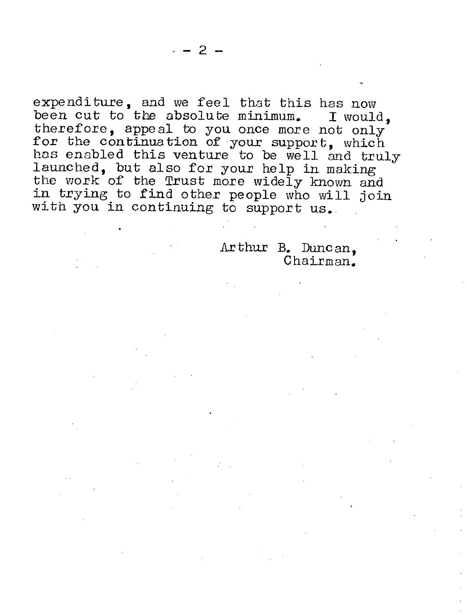expendituxe, and we feel that this has now been cut to the absolute minimum. I would, therefore, appeal to you once more not only for the continuation of your support, which has enabled this venture to be well and truly launched, but also for your help in making the work of the Trust more widely known and in trying to find other people who will join with you in continuing to support us.

> Arthux B. Duncan, Chairman.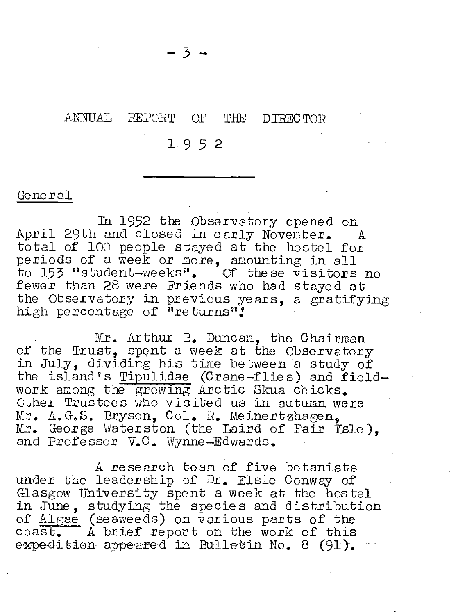#### ANNUAL REPORT OF THE DIRECTOR

195 2

#### General

In 1952 the Observatory opened on<br>and closed in early November. A April 29th and closed in early November. total of 100 people stayed at the hostel for periods of a week or more, amounting in all to 153 "student-weeks". Of the se visitors no fewer than 28 were Friends who had stayed at the Observatory in previous years, a gratifying high percentage of  $n_{\text{re turns}}$ 

Mr. Arthur B. Duncan, the Chairman of the Trust, spent a week at the Observatory in July, dividing his time between a study of the island's Tipulidae (Crane-flies) and fieldwork among the growing Arctic Skua chicks. Other Trustees who visited us in autumn were Mr. A.G.S. Bryson, Col. R. Meinertzhagen. Mr. George Waterston (the Laird of Fair Isle). and Professor V.C. Wynne-Edwards.

A research tean of five botanists under the leadership of Dr. Elsie Conway of Glasgow University spent a week at the hostel in *June,* studying the species and distribution of Algae (seaweeds) on various parts of the coast. A brief report on the work of this expedition appeared in Bulletin No.  $8-(91)$ .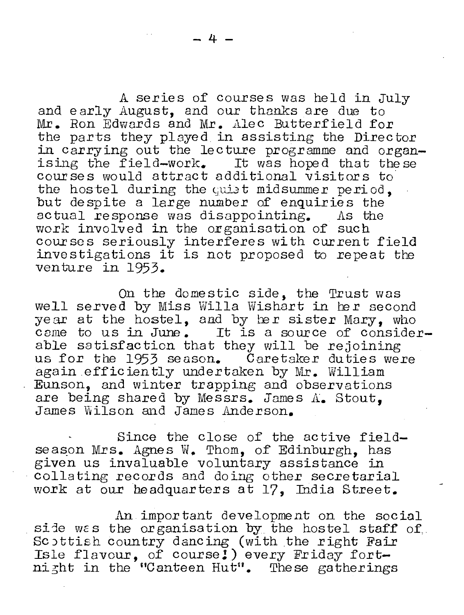A series of courses was held in July and early August, and our thanks are due to **Mr.** *Ron* Edwards and Mr. Alec Butterfield for the parts they played in assisting the Director in carrying out the lecture programme and organising the field-work. It was hoped that these courses would attract additional visitors to the hostel during the quist midsummer period. but despite a large number of enquiries the actual response was disappointing. As the work involved in the organisation of such coursos seriously interferes with current field investigations it is not proposed to repeat the venture in 1953.

On the domestic side, the Trust was well served by Miss Willa Wishart in her second year at the hostel, and by her sister Mary, who came to us in June. It is a source of considerable satisfaction that they will be rejoining us for the 1953 season. Caretaker duties were again efficiently undertaken by Mr. William Eunson, and winter trapping and observations are being shared by Messrs. James A. Stout. James Wilson and James Anderson.

Since the close of the active field season Mrs. Agnes W. Thom, of Edinburgh, has given us invaluable voluntary assistance in collating records and doing other secretarial work at our headquarters at 17. India Street.

An important development on the social side was the organisation by the hostel staff of. Scottish country dancing (with the right Fair Exposition country danging (wron one right randomly formulated in the second response of  $\sim$ ni zht in the "Canteen Hut". These gatherings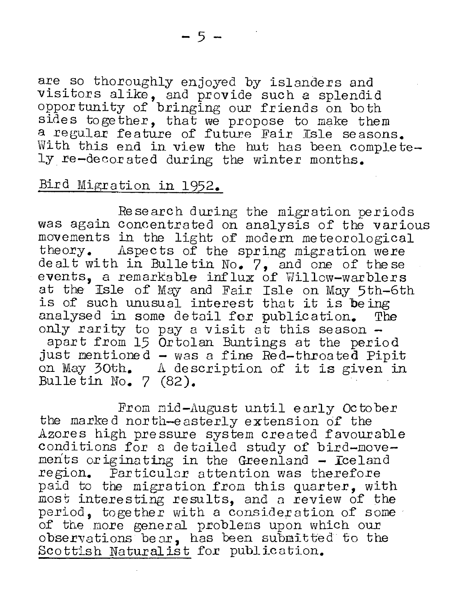are so thoroughly enjoyed by islanders and visitors alike, and provide such a splendid opportunity of bringing our friends on both sides together, that we propose to make them a regular feature of future Fair Isle seasons. With this end in view the hut has been completely re-decorated during the winter months.

# Bird Migration in 1952.

Research during the migration periods was again concentrated on analysis of the various movements in the light of modern meteorological<br>theory. Aspects of the spring migration were Aspects of the spring migration were dealt with in Bulletin No.  $7$ , and one of these events, a remarkable influx of willow-warblers at the Isle of May and Fair Isle on May 5th-6th is of such unusual interest that it is being<br>analysed in some detail for publication. The analysed in some detail for publication. Tonly rarity to pay a visit at this season  $$ apart from 15 Ortolan Buntings at the period just mentioned - was a fine Red-throated Pipit on May 30th. A description of it is given in Bulle tin no. 7 (82).

From nid-August until early Oc to ber the marke d nor th-e asterly extension of the Azores high pressure system created favourable conditions for a detailed study of bird-movements originating in the Greenland  $-$  Iceland region. Particular attention was therefore paid to the migration from this quarter, with most interesting results, and a review of the period, together with a consideration of some of the more general problems upon which our observations bear, has been submitted to the Scottish Naturalist for publication.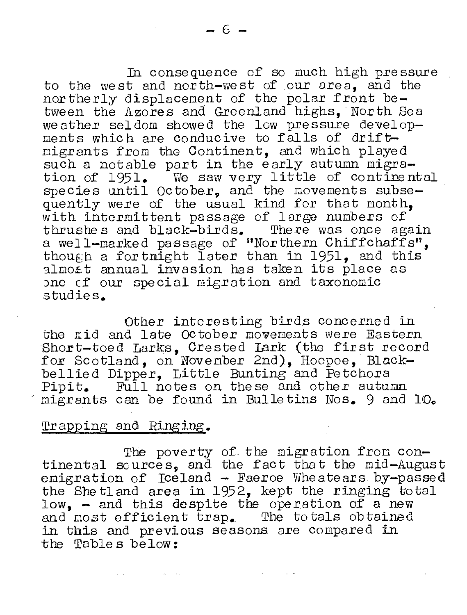In consequence of so much high pressure to the west and north-west of our area, and the northerly displacement of the polar front between the Azores and Greenland highs. North Sea weather seldom showed the low pressure developments which are conducive to falls of driftmigrants from the Continent, and which played such a notable part in the early autumn migration of 1951. We saw very little of continental species until  $October$ , and the movements subsequently were of the usual kind for that month. with intermittent passage of large numbers of thrushe s and black-birds. There was once again a well-marked passage of "Northern Chiffchaffs", though a for thight later than in 1951, and this almost annual invasion has taken its place as one cf our special migration and taxonomic studies.

Other interesting birds concerned in the rid and late October movements were Eastern Short-toed Larks, Crested Lark (the first record fox. Sc otland, on November **2nd),** Hoopoe, Blackbellied Dipper, Little Bunting and Petchora<br>Pipit. Full notes on these and other autumn migrants can be found in Bulletins Nos. 9 and 10.

#### Trapping and Ringing.

The poverty of the migration from continental sources, and the fact that the mid-August emigration of Iceland - Faeroe Wheatears by-passed the She tland area in 1952, kept the ringing total low, - and this despite the operation of a new and most efficient trap. The totals obtained in this and previous seasons are compared in the Table s below: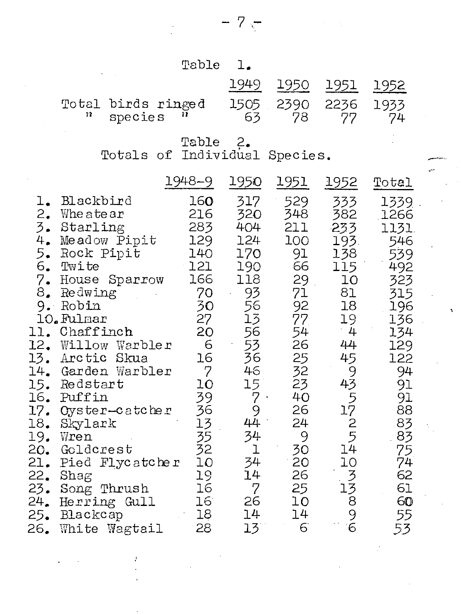$\frac{1}{\sqrt{2}}\sum_{i=1}^{n} \frac{1}{\sqrt{2}}\left(\frac{1}{\sqrt{2}}\right)^2\left(\frac{1}{\sqrt{2}}\right)^2.$ 

 $\sim 10^7$ 

 $\frac{1}{2} \sum_{i=1}^n \frac{1}{2} \sum_{j=1}^n \frac{1}{2} \sum_{j=1}^n \frac{1}{2} \sum_{j=1}^n \frac{1}{2} \sum_{j=1}^n \frac{1}{2} \sum_{j=1}^n \frac{1}{2} \sum_{j=1}^n \frac{1}{2} \sum_{j=1}^n \frac{1}{2} \sum_{j=1}^n \frac{1}{2} \sum_{j=1}^n \frac{1}{2} \sum_{j=1}^n \frac{1}{2} \sum_{j=1}^n \frac{1}{2} \sum_{j=1}^n \frac{1}{2} \sum_{j=$ 

 $\epsilon_{\rm{eff}}$ 

 $- 7.5$ 

 $\mathcal{L} = \mathcal{L} \mathcal{L}$  .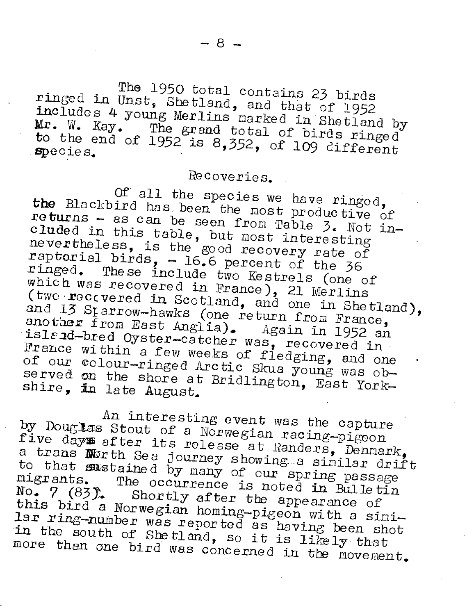ringed in Unst, Shetland, and that of 1952 The 1950 total contains 23 birds **Mr.**  includes udes 4 young Merlins narked in Shetland by<br>W. Kay. The grand total of birds ringed  $\text{tr. }$  W. Kay. The grand total of birds ringed<br>to the end of 1952 is 8.352  $\frac{1000 \text{ ft}}{5000 \text{ ft}}$  and of 1952 is 8,352, of 109 different

# Recoveries.

Of all the species we have ringed, Form  $\frac{1}{2}$  and  $\frac{1}{2}$  and  $\frac{1}{2}$  are  $\frac{1}{2}$  and  $\frac{1}{2}$  are  $\frac{1}{2}$  are  $\frac{1}{2}$  are  $\frac{1}{2}$  are  $\frac{1}{2}$  are  $\frac{1}{2}$  are  $\frac{1}{2}$  are  $\frac{1}{2}$  are  $\frac{1}{2}$  are  $\frac{1}{2}$  are  $\frac{1}{2}$  are  $\frac{1}{$ returns - as can be seen from Table  $3.$  Not inreturns - as can be seen from Table 3. Not in-<br>cluded in this table, but most interesting<br>nevertheless, is the mood reservinteresting nevertheless, is the good recovery rate of<br>raptorial birds. - 16.6 percent of the 36 raptorial pirds, - 16.6 percent of the 36<br>ringed. These include two Kestrels (one of which was recovered in France), 21 Merlins<br>(two recovered in Scotland one of (two reccvered in Scotland, and one in Shetland),<br>and 13 Starrow-hawks (one roturn for Shetland), and 1) brarrow-hawks (one return from France,<br>another from East Anglia). Again in 1952 an The Little Uyster-Catcher was, recovered in island-bred Oyster-catcher was, recovered in France within a few weeks of fledging, and one<br>of our colour-ringed Arctic Skua young was ob served on of our conour-ringed Arctic Skua young was ob-<br>served on the shore at Bridlington, East Yorkshire, in late August.

An interesting event was the capture<br>by Douglas Stout of a Norwegian racing-pigeon An interesting event was the capture<br>by Douglas Stout of a Norwegian racing-pigeon<br>five day after its release at Randers, Dennark,<br>a trans North Sea journey showing as to that North Sea journey showing a sinilar drift to that sustained by many of our spring passage migrants. The occurrence is noted in Bulletin No. 7 (83). Shortly after the appearance of<br>this bird a Norwegian boming piccome ince of lar ring-number a Norwegian homing-pigeon with a simi-<br>Amber was reported as having boom shall in the south of Shetland so it is like an about more of South of Shetland, so it is likely that<br>than one bird was concerned in the movement.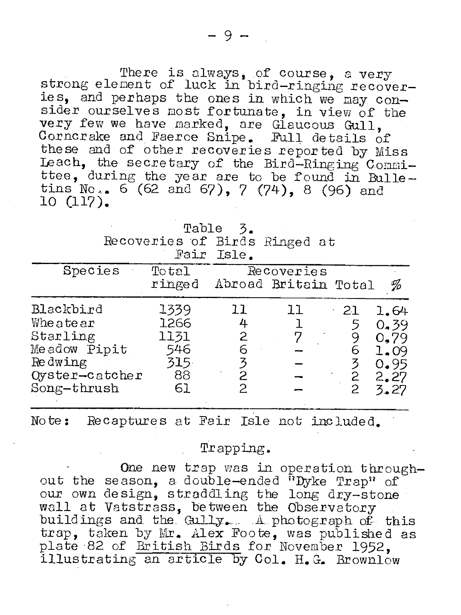There is always, of course, a very strong element of luck in bird-ringing recoveries, and perhaps the ones in which we may consider ourselves most fortunate, in view of the very few we have marked, are Glaucous Gull,<br>Corncrake and Faerce Snipe. Full details of these and of other recoveries reported by Miss Leach, the secretary of the Bird-Ringing Committee, during the year are to be found in Bulletins No..  $6(62 \text{ and } 67)$ , 7 (74), 8 (96) and 10 (117).

|                               | Table 3.   |  |
|-------------------------------|------------|--|
| Recoveries of Birds Ringed at |            |  |
|                               | Fair Isle. |  |

| Total<br>Recoveries |                                             |    |     |                      |  |  |
|---------------------|---------------------------------------------|----|-----|----------------------|--|--|
|                     |                                             |    |     | %                    |  |  |
| 1339                | 33                                          | ll | -21 | 1.64                 |  |  |
| 1266                | 4                                           |    |     | 0.39                 |  |  |
| 1131                | 2                                           |    |     | 0.79                 |  |  |
| 546                 |                                             |    | 6   | 1.09                 |  |  |
|                     | 3                                           |    | 3   | 0.95                 |  |  |
|                     |                                             |    |     | 2.27                 |  |  |
|                     |                                             |    | 2   | 3.27                 |  |  |
|                     | ringed<br>315<br>Oyster-catcher<br>88<br>61 |    |     | Abroad Britain Total |  |  |

Note: Recaptures at Fair Isle not included.

#### Trapping.

One new trap was in operation throughout the season, a double-ended "Dyke Trap" of our own design, straddling the long dry-stone wall at Vatstrass, between the Observatory buildings and the Gully. A photograph of this trap, taken by Mr. Alex Foote, was published as plate 82 of British Birds for November 1952, illustrating an article by Col. H.G. Brownlow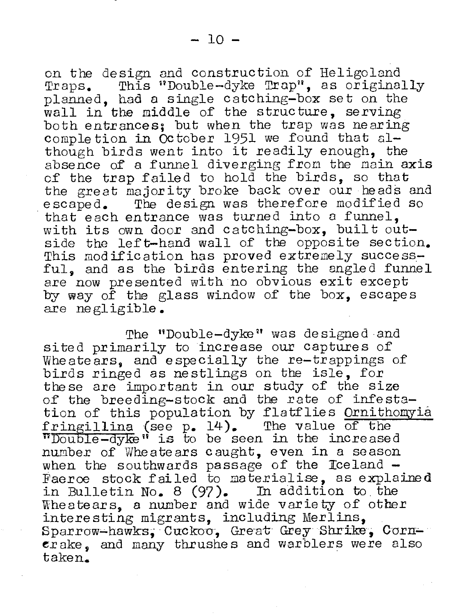on the design and construction of Heligoland<br>Traps. This "Double-dyke Trap", as originally Iraps. This "Double-dyke Trap", as originally planned, had a single catching-box set on the wall in the middle of the structure, serving both entrances; but when the trap was nearing completion in October 1951 we found that  $aI$ though birds went into it readily enough, the absence of a funnel diverging from the main axis of the trap failed to hold the birds. so that the great majority broke back over our heads and<br>escaped. The design was therefore modified so The design was therefore modified so

that each entrance was turned into a funnel. with its own door and catching-box, built outside the left-hand wall of the opposite section. This modification has proved extremely successful, and as the birds entering the angled funnel are now presented with no obvious exit except by way of the glass window of the box, escapes are negligible.

The "Double-dyke" was designed and sited primarily to increase our captures of Wheatears, and especially the re-trappings of birds ringed as nestlings on the isle, for these are important in our study of the size of the breeding-stock and the rate of infestation of this population by flatflies Ornithomyia fringillina (see p. 14). The value of the  $\overline{\text{vDouble-dyke}}$  is to be seen in the increased number of Wheatears caught, even in a season<br>when the southwards passage of the Iceland -Faeroe stock failed to materialise, as explained in Bulletin No. 8 (97). In addition to. the Wheatears, a number and wide variety of other interesting migrants, including Merlins, Sparrow-hawks, Cuckoo, Great Grey Shrike, Corn- $\epsilon$ rake, and many thrushes and warblers were also taken.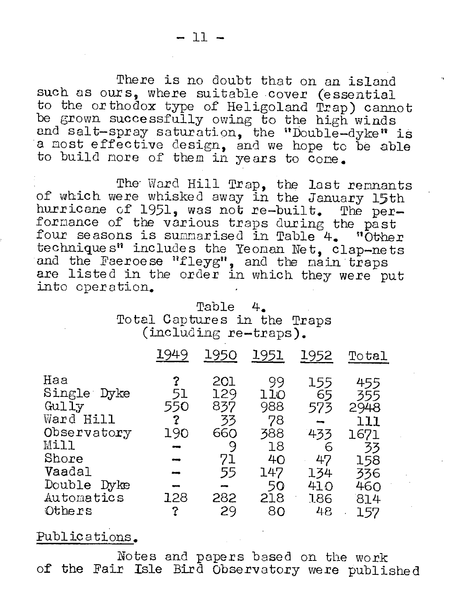There is no doubt that on an island such as ours, where suitable cover (essential to the orthodox type of Heligoland Trap) cannot be grown successfully owing to the high winds and salt-spray saturation, the "Double-dyke" is a nost effective design, and we hope to be able to build nore of them in years to cone.

The Ward Hill Trap, the last rennants of which were whisked away in the January 15th<br>hurricane of 1951, was not re-built. The performance of the various traps during the past four seasons is summarised in Table 4. "Other technique s" includes the Yeoman Net, clap-nets and the Faeroese "fleyg", and the main traps are listed in the order in which they were put into operation.

> Table **4.**  Total Captures in the Traps (including re-traps).

|                                                                                                                              | 1949                                          | 1950                                                         | 1951                                                                | 1952                                                          | Total                                                                      |
|------------------------------------------------------------------------------------------------------------------------------|-----------------------------------------------|--------------------------------------------------------------|---------------------------------------------------------------------|---------------------------------------------------------------|----------------------------------------------------------------------------|
| Haa<br>Single Dyke<br>Gully<br>Ward Hill<br>Observatory<br>Mill<br>Shore<br>Vaadal<br>Double<br>Dyke<br>Automatics<br>Others | ?<br>51<br>550<br>2<br>190<br>دست<br>128<br>? | 201<br>129<br>837<br>33<br>660<br>9<br>71<br>55<br>282<br>29 | 99<br>110<br>988<br>78<br>388<br>18<br>40<br>147<br>50<br>218<br>80 | 155<br>65<br>573<br>433<br>6<br>47<br>134<br>410<br>186<br>48 | 455<br>355<br>2948<br>111<br>1671<br>33<br>158<br>336<br>460<br>814<br>157 |
|                                                                                                                              |                                               |                                                              |                                                                     |                                                               |                                                                            |

## Publications.

Notes and papers based on the work of' the Fair Isle Bird Observatory were published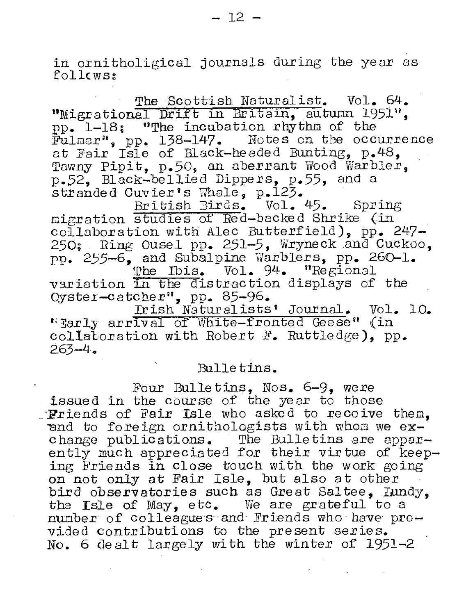in ornitholigical journals during the year as follows:

The Scottish Naturalist. Vol. 64. "Migrational Drift in Britain, autumn 1951". pp. 1-18; "The incubation rhythm of the Fulmar", pp. 138-147. Notes on the occurrence at Fair Isle of Black-headed Bunting, p.48, Tawny Pipit, p.50, an aberrant Wood Warbler, p.52, Black-bellied Dippers, p.55, and a stranded Cuvier's Whale, p.123.

British Birds. Vol. 45. Spring migration studies of Red-backed Shrike (in collaboration with Alec Butterfield), pp. 247-250; Ring Ousel pp. 251-5, Wryneck and Cuckoo. pp. 255-6, and Subalpine Warblers, pp. 260-1. The Ibis. Vol. 94. "Regional variation in the distraction displays of the Cyster-catcher", pp. 85-96.<br>Irish Naturalists' Journal. Vol. 10.

"Early arrival of White-fronted Geese" (in collatoration with Robert F. Ruttledge), pp.  $263 - 4$ 

#### Bulletins.

Four Bulletins, Nos. 6-9, were issued in the course of the year to those . Friends of Fair Isle who asked to receive them. and to foreign ornithologists with whom we exchange publications. The Bulletins are apparently much appreciated for their virtue of keeping Friends in close touch with the work going on not only at Fair Isle, but also at other bird observatories such as Great Saltee. Lundy. the Isle of May, etc. We are grateful to a number of colleagues and Friends who have provided contributions to the present series. No. 6 dealt largely with the winter of 1951-2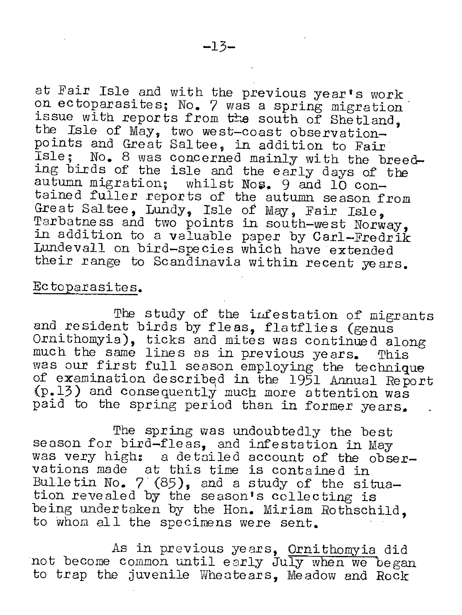at Fair Isle and with the previous year's work on ectoparasites; No. 7 was a spring migration issue with reports from the south of Shetland. the Isle of May, two west-coast observationpoints and Great Saltee, in addition to Fair Isle: No. 8 was concerned mainly with the breeding birds of the isle and the early days of the autumn migration; whilst Nos. 9 and lO contained fuller reports of the autumn season from Great Saltee, Lundy, Isle of May, Fair Isle. Tarbatness and two points in south-west Norway, in addition to a valuable paper by Carl-Fredrik Lundevall on bird-species which have extended their range to Scandinavia within recent years.

#### Ec to parasites.

The study of the infestation of migrants and resident birds by fleas, flatflies (genus Ornithomyia), ticks and mites was continued along much the same lines as in previous years. This was our first full season employing the technique of examination described in the 1951 Annual Report<br>(p.13) and consequently much more attention was paid to the spring period than in former years.

The spring was undoubtedly the best season for bird-fleas, and infestation in May was very high: a detailed account of the observations made at this time is contained in Bulletin No.  $7(85)$ , and a study of the situation revealed by the season's collecting is being undertaken by the Hon. Miriam Rothschild. to whon all the specimens were sent.

As in previous years, Ornithomyia did not become common until early July when we began to trap the juvenile Wheatears, Meadow and Rock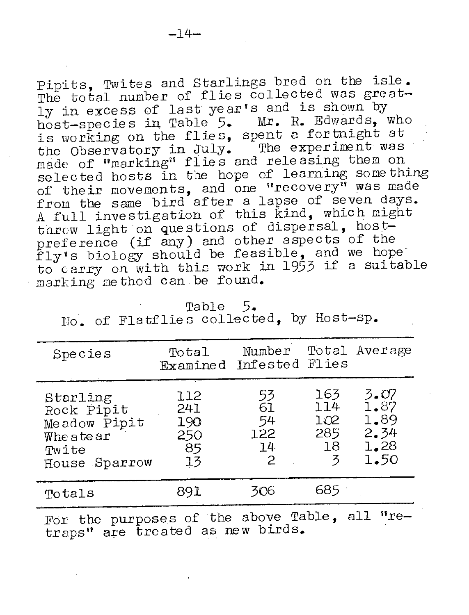Pipits, Twites and Starlings bred on the isle. The total number of flies collected was greatly in excess of last year's and is shown by host-species in Table 5. Mx. *R.* Edwards, who is working on the flies, spent a fortnight at the Observatory in July. The experiment was made of "marking" flies and releasing them on selected hosts in the hope of learning something of their movements, and one "recovery" was made from the same bird after a lapse of seven days. A full investigation of this kind, which might threw light on questions of dispersal, hostpreference (if any) and other aspects of the preierence (if any) and bonding begins of the preto carry on with this work in 1953 if a suitable marking me thod can be found.

Table 5. No. of Flatflies collected, by Host-sp.

| Species                                                                      | Total<br>Examined Infested Flies     | Number                           |                                     | Total Average                                |
|------------------------------------------------------------------------------|--------------------------------------|----------------------------------|-------------------------------------|----------------------------------------------|
| Starling<br>Rock Pipit<br>Meadow Pipit<br>Wheatear<br>Twite<br>House Sparrow | 112<br>241<br>190<br>250<br>85<br>13 | 53<br>61<br>54<br>122<br>14<br>2 | 163<br>114<br>102<br>285<br>18<br>ろ | 3.OZ<br>1.87<br>1.89<br>2.34<br>1.28<br>1.50 |
| Totals                                                                       | 891                                  | 306                              | 685.                                |                                              |
| the purposes of the above Table.<br>$_{\rm{FOT}}$                            |                                      |                                  |                                     | $"$ re $-$<br>all                            |

traps" are treated as new birds.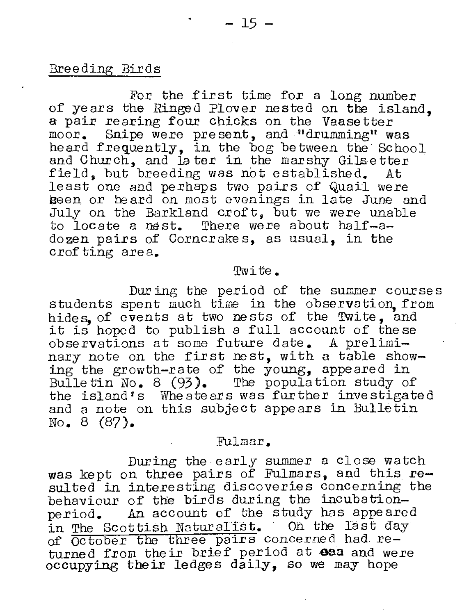#### Breeding Birds

For the first time fox a long number of years the Ringed Plover nested on the island, a pair rearing four chicks on the Vaasetter moor. Snipe were present, and "drumming" was heard frequently, in the bog between the School and Church, and later in the marshy Gilsetter<br>field, but breeding was not established. At field, but breeding was not established. least one and perhaps two pairs of Quail were Been or heard on most evenings in late June and July on the Barkland croft, but we were unable to locate a nest. There were about half-adozen pairs of Corncrakes, as usual, in the crof ting are a.

#### Twite.

Dur ing the period of the summer courses students spent much time in the observation from hides, of events at two nests of the Twite, and it is hoped to publish a full account of these observations at some future date. A preliminary note on the first nest, with a table showing the growth-rate of the young, appeared in Bulletin No. 8 (93). The population study of the island's Wheateaxs was further investigated and a note on this subject appears in Bulletin No. 8 (87).

#### Fulmar.

During the early summer a close watch was kept on three pairs of Fulmars, and this resulted in interesting discoveries concerning the behaviour of the birds during the incubation-<br>period. An account of the study has appeare An account of the study has appeared in The Scottish Naturalist. On the last day of October the three pairs concerned had returned from their brief period at eea and were occupying their ledges daily, so we may hope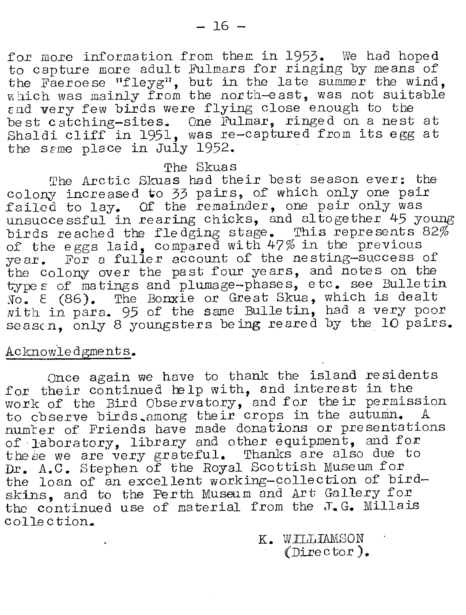for more information from them in 1953. We had hoped to capture more adult Fulmars for ringing by means of the Faeroe se "fleyg", but in the late summer the wind, which was mainly from the north-east, was not suitable End very few birds were flying close enough to the best catching-sites. One Fulmar, ringed on a nest at Shaldi cliff in 1951, was re-captured from its egg at the same place in July 1952.

#### The Skuas

The Arctic Skuas had their best season ever: the colony increased to 33 pairs, of which only one pair corony increased to by pairly, or which only one pair rafied to fay. Of the remainder, one point only her used birds reached the fledging stage. This represents 82% of the eggs laid, compared with 47% in the previous bit the eggs faid, compared with the interpretation the colony over the past four years, and notes on the type solidity over the pass roar jours, and necession one ~oo *<sup>E</sup>*(86). The Bonxie or Great Skua, which is dealt with in para. 95 of the same Bulletin, had a very poor seascn, only 8 youngsters being reared by the 10 pairs.

#### Acknowledgments.

Once again we have to thank the island residents for their continued help with, and interest in the work of the Bird Observatory, and for their permission to cbserve birds among their crops in the autumn. A numter of Friends have made donations or presentations of laboratory, library and other equipment, and for the se we are very grateful. Thanks are also due to Dr. A.C. Stephen of the Royal Scottish Museum for the loan of an excellent working-collection of birdskins, and to the Perth Museum and Art Gallery for the continued use of material from the  $J_{\bullet} G_{\bullet}$  Millais collection.

> K. WILLIAMSON (Dire c tor).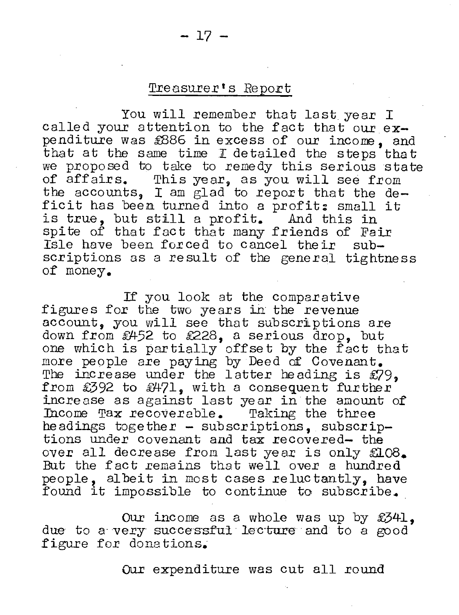#### Treasurer's Report

You will remember that last year I called your attention to the fact that our  $ex$ penditure was £886 in excess of our income, and that at the same time I detailed the steps that we proposed to take to remedy this serious state<br>of affairs. This year, as you will see from This year, as you will see from the accounts, I am glad to report that the deficit has been turned into a profit: small it is true, but still a profit. And this in spite of that fact that many friends of Fair Isle have been forced to cancel their subscriptions as a result of the general tightness of money.

If you look at the comparative figures for the two years in the revenue account, you will see that subscriptions are down from £452 to £228, a serious drop, but one which is partially offset by the fact that more people are paying by Deed of Covenant. The increase under the latter heading is £79, from £392 to £471, with a consequent further increase as against last year in the amount of<br>Income Tax recoverable. Taking the three Income Tax recoverable. headings together - subscriptions, subscriptions under covenant and tax recovered- the over all decrease from last year is only £108. But the fact remains that well over a hundred people, albeit in most cases reluctantly, have found it impossible to continue to subscribe.

Our income as a whole was up by £341, due to a very successful lecture and to a good figure for donations.

Our expenditure was cut all round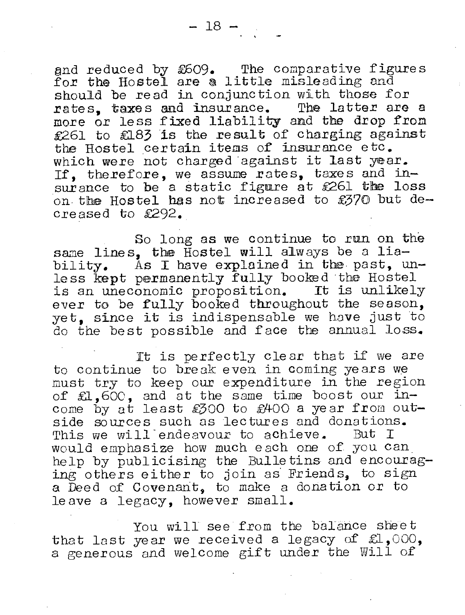and reduced by £609. The comparative figures gnd reduced by EOO9. The comparative ligt<br>for the Hostel are a little misleading and should be read in conjunction with those for rates, taxes and insurance. The latter are a more or less fixed liability and the drop from £261 to £183 is the result of charging against the Hostel certain items of insurance etc. which were not charged against it last year. If. therefore, we assume rates, taxes and insurance to be a static figure at  $£261$  the loss on the Hostel has not increased to  $$370$  but decreased to £292.

So long as we continue to run on the same lines, the Hostel will always be a liability. As I have explained in the past, unless kept permanently fully booked the Hostel is an uneconomic proposition. It is unlikely ever to be fully booked throughout the season, yet, since it is indispensable we have just to do the best possible and face the annual 10.8s.

It is perfectly clear that if we are to continue to break even in coming years we must try to keep our expenditure in the region of £1,600, and at the same time boost our income by at least £300 to £400 a year from outside sources such as lectures and donations.<br>This we will endeavour to achieve. But I This we will endeavour to achieve. would emphasize how much each one of you can help by publicising the Bulletins and encouraging others either to join as Friends, to sign a Deed of Covenant, to make a donation or to le ave a legacy, however small.

You will see from the balance sheet that last year we received a legacy of  $L$ ,000, a generous and welcome gift under the Will of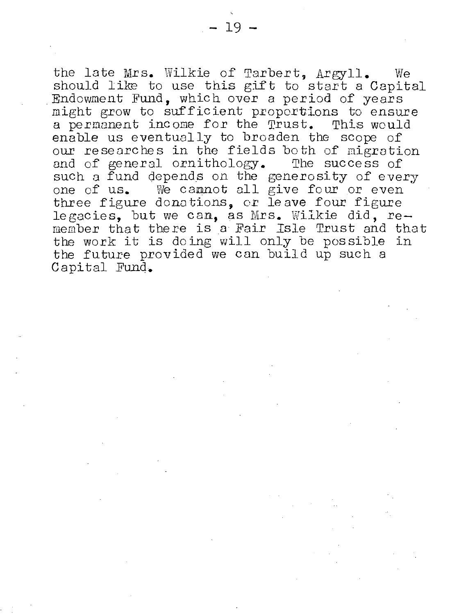the late Mrs. Wilkie of Tarbert, Argyll. We should like to use this gift to start a Capital Endowment Fund, which over a period of years might grow to sufficient proportions to ensure a permanent income for the Trust. This would enable us eventually to broaden the scope of our researches in the fields both of migration and of general ornithology. The success of such a fund depends on the generosity of every one of us. We cannot all give four or even three figure donations, or leave four figure legacies, but we can, as Mrs. Wilkie did, remember that there is a Fair Isle Trust and that the work it is doing will only be possible in the future provided we can build up such a Capital Fund.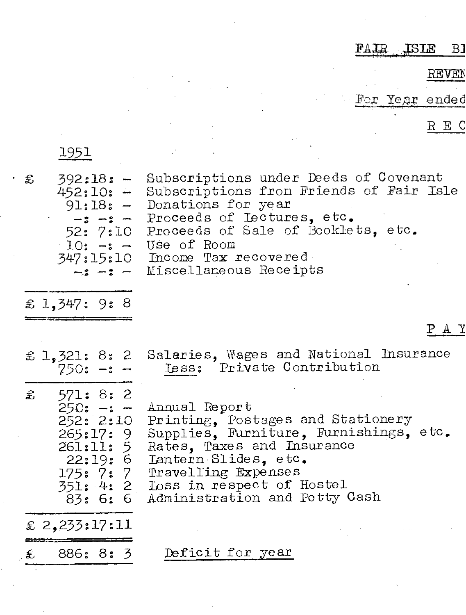#### FAIR ISIE  $B1$

REVEN

For Year ended

 $R$  E C

1951

| £ | $392:18: -$<br>$452:10: -$<br>52: 7:10                                                 | Subscriptions under Deeds of Covenant<br>Subscriptions from Friends of Fair Isle<br>$91:18: -$ Donations for year<br>-: -: - Proceeds of Lectures, etc.<br>Proceeds of Sale of Booklets, etc.<br>$10: -: -$ Use of Room<br>347:15:10 Income Tax recovered<br>$-z - z$ - Miscellaneous Receipts |
|---|----------------------------------------------------------------------------------------|------------------------------------------------------------------------------------------------------------------------------------------------------------------------------------------------------------------------------------------------------------------------------------------------|
|   | £ 1,347: 9: 8                                                                          |                                                                                                                                                                                                                                                                                                |
|   |                                                                                        | PAY                                                                                                                                                                                                                                                                                            |
|   | $750: -2 \rightarrow$                                                                  | £ 1,321: 8: 2 Salaries, Wages and National Insurance<br>Less: Private Contribution                                                                                                                                                                                                             |
|   | \$571:8:2<br>$250: -1 -$<br>252:2:10<br>265:17:9<br>261:11: 5<br>175: 7: 7<br>83: 6: 6 | Annual Report<br>Printing, Postages and Stationery<br>Supplies, Furniture, Furnishings, etc.<br>Rates, Taxes and Insurance<br>22:19: 6 Iantern Slides, etc.<br>Travelling Expenses<br>351: 4: 2 Loss in respect of Hostel<br>Administration and Petty Cash                                     |
|   | £ 2,233:17:11                                                                          |                                                                                                                                                                                                                                                                                                |
|   | $\epsilon$ 886: 8: 3                                                                   | Deficit for year                                                                                                                                                                                                                                                                               |
|   |                                                                                        |                                                                                                                                                                                                                                                                                                |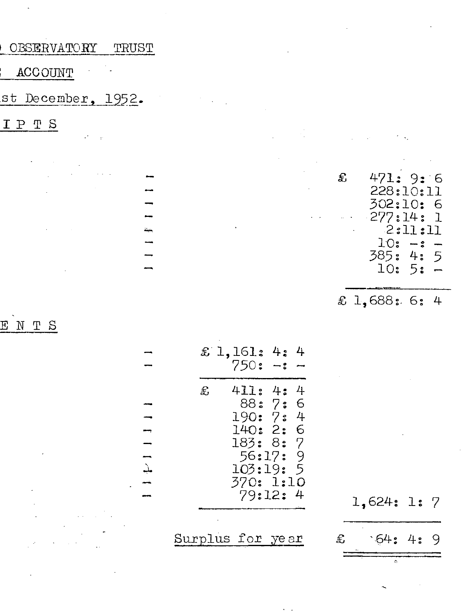OBSERVATORY TRUST

ACCOUNT

st December, 1952.

IPTS

|                                                                                                                    |                             |                            | $\mathcal{L}^{\mathcal{L}}(\mathcal{L}^{\mathcal{L}})$ and the contribution of the contribution of the contribution of the contribution of the contribution of the contribution of the contribution of the contribution of the contribution of the con |
|--------------------------------------------------------------------------------------------------------------------|-----------------------------|----------------------------|--------------------------------------------------------------------------------------------------------------------------------------------------------------------------------------------------------------------------------------------------------|
| $\mathcal{L}_{\mathcal{A}}$ , and $\mathcal{L}_{\mathcal{A}}$ , and the set of the set of the set of $\mathcal{A}$ |                             | and the state of the<br>£  | 471: 9:6                                                                                                                                                                                                                                               |
| $\mathcal{L}^{\text{max}}_{\text{max}}$ and $\mathcal{L}^{\text{max}}_{\text{max}}$                                |                             | and the state of the state | 228:10:11                                                                                                                                                                                                                                              |
|                                                                                                                    |                             |                            | 302:10: 6                                                                                                                                                                                                                                              |
|                                                                                                                    |                             |                            | $-277:14:1$                                                                                                                                                                                                                                            |
| the control of the control of the control of the                                                                   | and the control of the con- |                            | 2:11:11                                                                                                                                                                                                                                                |
|                                                                                                                    |                             |                            | $10: -: -$                                                                                                                                                                                                                                             |
|                                                                                                                    |                             |                            | 385: 4: 5                                                                                                                                                                                                                                              |
| the control of the control of the con-                                                                             |                             |                            | $10:5: -$                                                                                                                                                                                                                                              |
|                                                                                                                    |                             |                            |                                                                                                                                                                                                                                                        |
|                                                                                                                    |                             |                            | £ 1.688: 6: 4                                                                                                                                                                                                                                          |

ENTS

|                  | £ 1,161: 4:<br>750: -:                                                 |                                | 4 |
|------------------|------------------------------------------------------------------------|--------------------------------|---|
| £,               | 411: 4:<br>190:7:4<br>140: 2: 6<br>183: 8: 7<br>103:19: 5<br>370: 1:10 | 88:7:6<br>56:17: 9<br>79:12: 4 | 4 |
| Surplus for year |                                                                        |                                |   |

 $1 + 1 + 1$ 

1,624: 1: 7  $.64:4:$ £ 9

3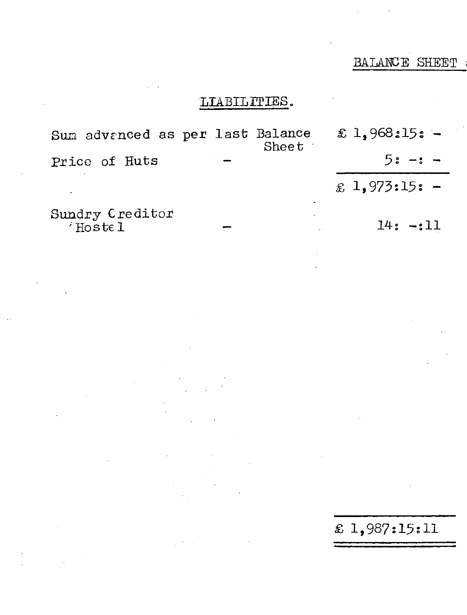## LIABILITIES.

£ 1,968:15: Sum advanced as per last Balance Sheet :  $5: -:$ Price of Huts  $£ 1,973:15: -$ Sundry Creditor<br>Hostel  $14: -:11$ 

£ 1,987:15:11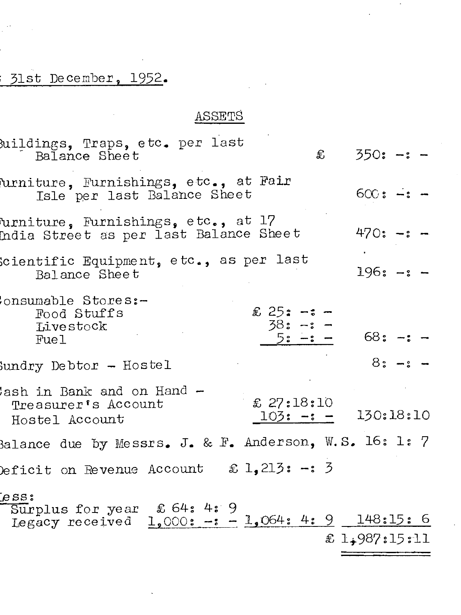# 31st December, 1952.

 $\sim$   $\sim$ 

# ASSETS

 $\rightarrow$ 

l,

| uildings, Traps, etc. per last<br>Balance Sheet                                                  | $\mathbf{\pounds}$ | $350: -: -$   |           |  |
|--------------------------------------------------------------------------------------------------|--------------------|---------------|-----------|--|
| urniture, Furnishings, etc., at Fair<br>Isle per last Balance Sheet                              |                    | $600: -1 -$   |           |  |
| furniture, Furnishings, etc., at 17<br>India Street as per last Balance Sheet                    |                    | $470: -: -$   |           |  |
| cientific Equipment, etc., as per last<br>Balance Sheet                                          |                    | $196: -: -$   |           |  |
| onsumable Stores:-<br>$$25: -1 -$<br>Food Stuffs<br>$38: -: -$<br>Livestock<br>$5: -2 -$<br>Fuel |                    | 68: -: -      |           |  |
| ${\rm Sundry}$ Debtor - Hostel                                                                   |                    |               | $8: -: -$ |  |
| ash in Bank and on Hand -<br>£ 27:18:10<br>Treasurer's Account<br>$103: -: -$<br>Hostel Account  |                    | 130:18:10     |           |  |
| Balance due by Messrs. J. & F. Anderson, W.S. 16: 1: 7                                           |                    |               |           |  |
| Deficit on Revenue Account $x = 1,213$ : -: 3                                                    |                    |               |           |  |
| [ess:<br>Surplus for year £ 64: 4: 9<br>Legacy received 1,000: -: - 1,064: 4: 9 148:15: 6        |                    | £ 1,987:15:11 |           |  |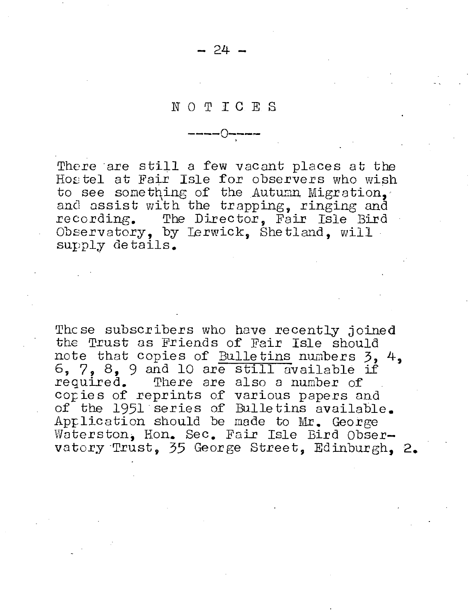$24.$ 

#### NOTICES

There are still a few vacant places at the Hostel at Fair Isle for observers who wish to see something of the Autumn Migration. and assist with the trapping, ringing and recording. The Director. Fair Isle Bird Observatory, by Lerwick, Shetland, will supply details.

These subscribers who have recently joined the Trust as Friends of Fair Isle should note that copies of Bulletins numbers 3, 4, 6, 7, 8, 9 and 10 are still available if required. There are also a number of cories of reprints of various papers and of the 1951 series of Bulletins available. Aprlication should be made to Mr. George Waterston, Hon. Sec. Fair Isle Bird Observatory Trust. 35 George Street. Edinburgh. 2.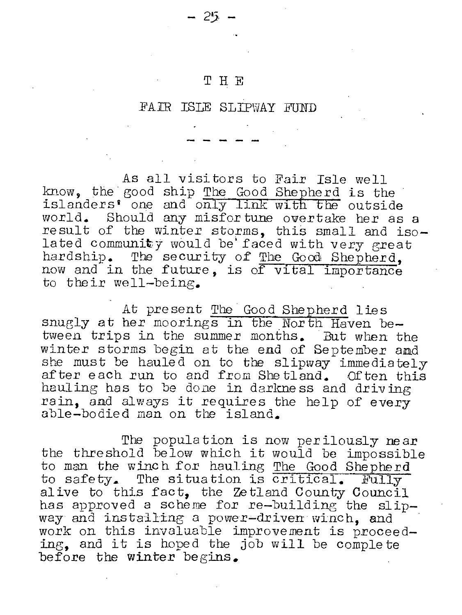#### **THE**

- 25,

#### FAIR ISLE SLIPWAY FUND

As all visitors to Fair Isle well know, the good ship The Good Shepherd is the islanders' one and only link with the outside world. Should any misfor tune overtake her as a result of the winter storms, this small and isolated community would be faced with very great hardship. The security of The Good Shepherd, now and in the future, is of vital importance to their well-being.

At present The Good Shepherd lies snugly at her moorings in the North Haven between trips in the summer months. But when the winter storms begin at the end of September and she must be hauled on to the slipway immediately after each run to and from Shetland. Often this hauling has to be done in darkne ss and driv ing rain, and always it requires the help of every able-bodied man on the island.

The population is now perilously near the threshold below which it would be impossible to man the winch for hauling The Good Shepherd to safety. The situation is critical. Fully alive to this fact, the Zetland County Council has approved a scheme for re-building the slipway and installing a power-driven winch, and work on this invaluable improvement is proceeding, and it is hoped the job will be comple te before the winter begins.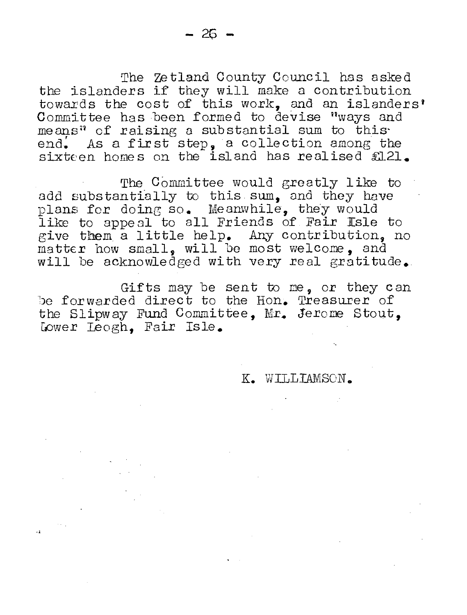The Zetland County Council has asked the islanders if they will make a contribution towards the cost of this work, and an islanders' Committee has been formed to devise "ways and means" of raising a substantial sum to this end. As a first step, a collection among the  $\frac{1}{2}$  is a matrix of  $\frac{1}{2}$  of  $\frac{1}{2}$ .

The Committee would greatly like to add substantially to this sum. and they have plans for doing so. Meanwhile, they would like to appeal to all Friends of Fair Isle to give them a little help. Any contribution, no  $m$ atter how small, will be most welcome, and will be acknowledged with very real gratitude.

Gifts may be sent to me, or they can be forwarded direct to the Hon. Treasurer of the Slipway Fund Committee, Mr. Jerorne Stout, Lower Leogh. Fair Isle.

K. WILLIAMSON.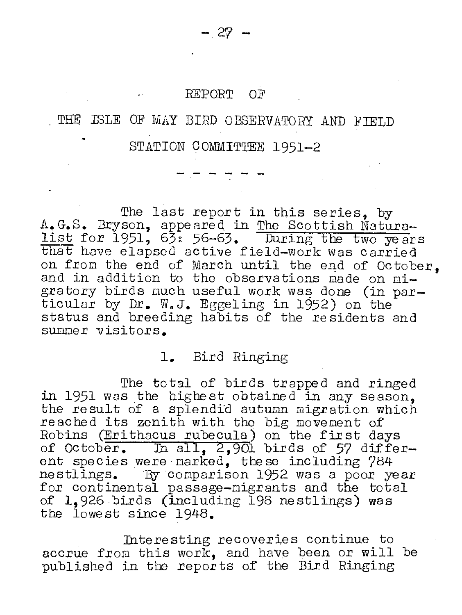#### REPORT OF

# THE ISLE OF MAY BIRD *OBSERVATORY* AND FIELD

STATION COMMITTEE 1951-2

The last report in this series, by A.G.S. Bryson, appeared in The Scottish Naturalist for  $1951$ ,  $63$ :  $56-63$ . During the two years that have elapsed active field-work was carried on from the end of March until the end of October, and in addition to the observations made on migratory birds much useful work was done (in par-<br>ticular by Dr. W.J. Eggeling in 1952) on the status and breeding habits of the residents and summer visitors.

#### **1.** Bird Ringing

The total of birds trapped and ringed in 1951 was the highest obtained in any season. the result of a splendid autumn migration which reached its zenith with the big movement of Robins (Erithacus rubecula) on the first days of October. In all,  $2,901$  birds of 57 different species were marked, these including 784 nestlings. By comparison 1952 was a poor year for continental passage-nigrants and the total of 1,926 birds (including 198 nestlings) was the lowest since 1948.

Interesting recoveries continue to accrue from this work, and have been or will be published in the repor ts of the Bird Ringing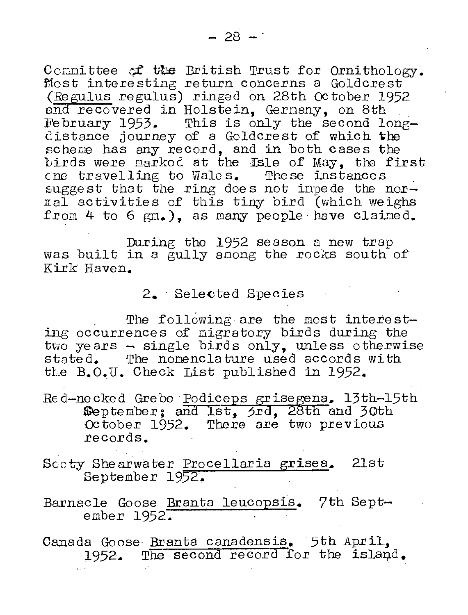Committee of the British Trust for Ornithology. Most interesting return concerns a Goldcrest (Regulus regulus) ringed on 28th October 1952 and recovered in Holstein, Germany, on 8th February 1953. This is only the second longdistance journey of a Goldcrest of which the scheme has any record, and in both cases the birds were marked at the Isle of May, the first cne travelling to Wales. These instances suggest that the ring does not impede the nornal activities of this tiny bird (which weighs from 4 to 6 gm.). as many people have claimed.

During the 1952 season a new trap was built in a gully among the rocks south of Kirk Haven.

#### 2. Selected Species

The following are the most interesting occurrences of migratory birds during the  $t_{\rm WO}$  years  $\sim$  single birds only, unless otherwise stated. The nomenclature used accords with the B.O.U. Check List published in 1952.

- Red-necked Grebe Podiceps grisegena. 13th-15th September; and Ist, 3rd, 28th and 30th October 1952. There are two previous records.
- Scoty Shearwater Procellaria grisea. 21st September 1952.
- Barnacle Goose Branta leucopsis. 7th September 1952.

Canada Goose Branta canadensis. 5th April. 1952. The second record for the island.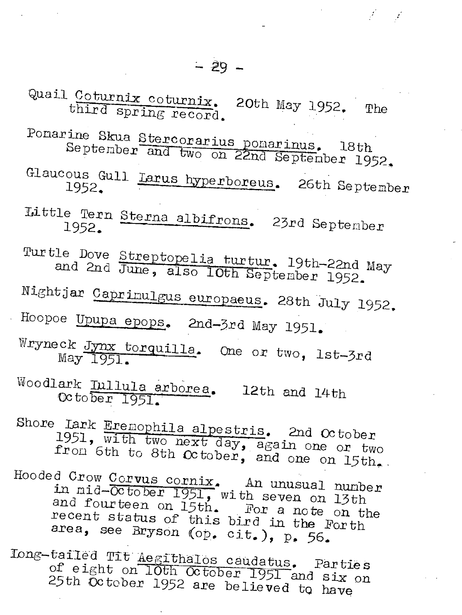$\mathbb{X}\times\mathbb{X}$ 

Quail Coturnix coturnix. 20th May 1952. The third spring record.

Ponarine ine Skua <u>Stercorarius pomarinus</u>. 18th<br>September and two on 22nd September 1952.

Glaucous Gull Larus hyperboreus. 26th September

Little Tern Sterna albifrons. 23rd September

Turtle Dove Streptopelia turtur. 19th-22nd May and 2nd June, also lOth September 1952.

Nightjar Caprinulgus europaeus. 28th July 1952.

Roopoe Upupa epops. 2nd-3rd May 1951.

Wryneck Jynx torquilla. One or two, 1st-3rd May 1951.

 $\mathtt{Woodlark}$ ark <u>Iullula arborea</u>. 12th and 14th<br>October 1951.

Shore Lark Eremophila alpestris. 2nd October from 1951, 6th with two next day, again one or two the to 8th October, and one on 15th.

Hooded Crow Corvus eornix. An unusual nunber and fourteen on 15th. For a note on the in nid-OCtober 1951, with seven on 13th recent and fourteen on 15th. For a note on the<br>recent status of this bird in the Forth<br>area, see Bryson (op. cit.), p. 56.

long-tailed Tit Aegithalos caudatus. Parties<br>Of eight on IOth Octobre of eight<br>25th Octo OCtober on lOth October 1951 and six on<br>ber 1952 are believed to have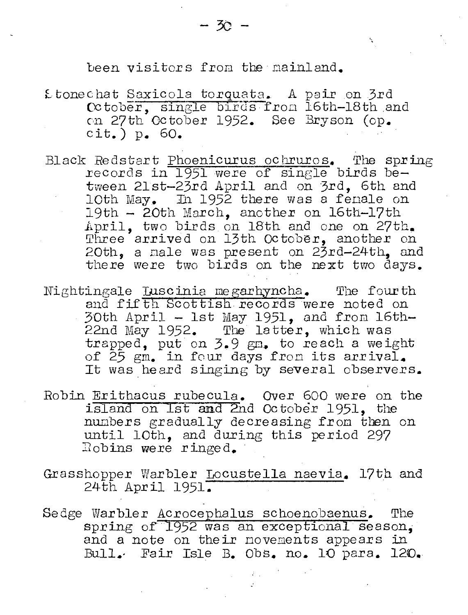$\mathbf{v}_i$ 

#### been visitors from the mainland.

£tonechat Saxicola torquata. A pair on 3rd October, single birds from 16th-18th and on 27th October 1952. See Bryson (op.  $\text{cit.})$  p. 60.

- Black Redstart Phoenicurus ochruros. The spring records in 1951 were of single birds between 21st-23rd April and on 3rd. 6th and lOth May, In 1952 there was a fenale on 19th  $-$  20th March, another on 16th-17th April, two birds on 18th and one on 27th. Three arrived on 13th October, another on 20th, a male was present on 23rd-24th. and there were two birds on the next two days.
- Nightingale Luscinia megarhyncha. The fourth and fifth Scottish records were noted on 30th April - 1st May 1951, and from 16th-22nd May 1952. The latter, which was<br>trapped, put on 3.9 gm. to reach a weight of 25 gm. in four days from its arrival. It was heard singing by several observers.
- Robin Erithacus rubecula. Over 600 were on the island on Ist and 2nd October 1951, the numbers gradually decreasing from then on until 10th, and during this period 297 Robins were ringed.
- Grasshopper Warbler Locustella naevia. 17th and 24th April 1951.
- Sedge Warbler Acrocephalus schoenobaenus. The spring of 1952 was an exceptional season. and a note on their movements appears in Bull. Fair Isle B. Obs. no. 10 para. 120.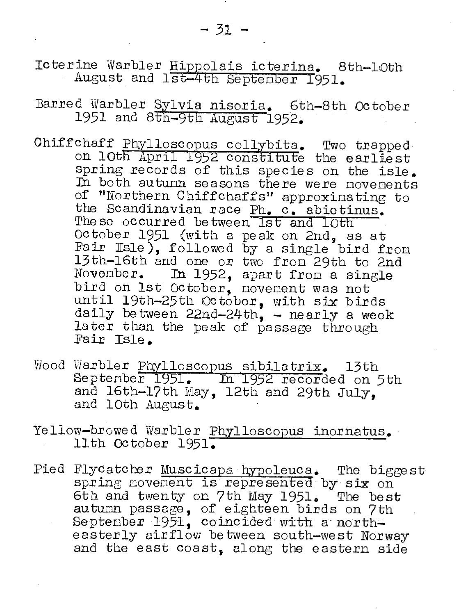Icterine Warbler Hippolais icterina. 8th-10th August and 1st-4th Septenber 1951.

Barred Warbler Sylvia nisoria. 6th-8th October 1951 and 8th-9th August 1952.

- Chiffchaff Phylloscopus collybita. Two trapped on 10th April 1952 constitute the earliest spring records of this species on the isle. In both autumn seasons there were novements of "Northern Chiffchaffs" approximating to the Scandinavian race Ph. c. abietinus. These occurred between Ist and IOth October 1951 (with a peak on 2nd, as at Fair Isle), followed by a single bird from 13th-16th and one or two from 29th to 2nd November. In 1952, apart from a single bird on 1st October, novement was not until 19th-25th October, with six birds daily between  $22nd-24th$ , - nearly a week later than the peak of passage through Fair Isle.
- Wood Warbler Phylloscopus sibilatrix. 13th<br>September 1951. In 1952 recorded on 5th and 16th-17th May, 12th and 29th July. and 10th August.
- Yellow-browed Warbler Phylloscopus inornatus. 11th October 1951.
- Pied Flycatcher Muscicapa hypoleuca. The biggest spring novement is represented by six on 6th and twenty on 7th May 1951. The best autumn passage, of eighteen birds on 7th September 1951, coincided with a northeasterly airflow between south-west Norway and the east coast, along the eastern side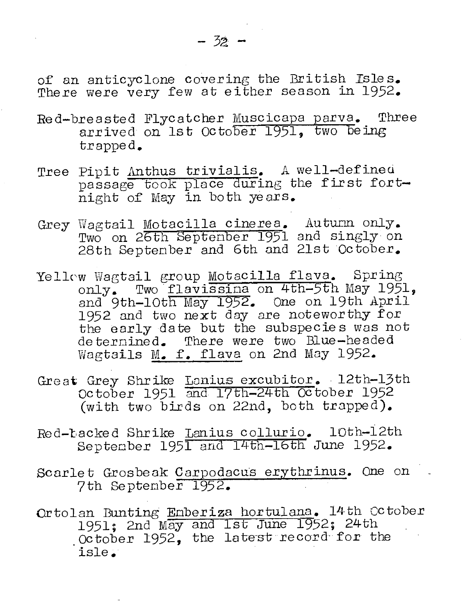of an anticyclone covering the British Isles. There were very few at either season in 1952.

- Red-breasted Flycatcher Muscicapa parva. Three arrived on 1st October 1951, two being trapped.
- Tree Pipit Anthus trivialis. A well-defined passage took place during the first fortnight of May in both years.
- Grey Wagtail Motacilla cinerea. Auturn only.<br>Two on 26th Septenber 1951 and singly on 28th Septenber and 6th and 21st October.
- Yellow Wagtail group Motacilla flava. Spring only. Two flavissina on 4th-5th May 1951, and 9th-10th May 1952. One on 19th April 1952 and two next day are noteworthy for the early date but the subspecies was not deternined. There were two Blue-headed Wagtails M. f. flava on 2nd May 1952.
- Great Grey Shrike Lanius excubitor. 12th-13th<br>October 1951 and 17th-24th October 1952 (with two birds on 22nd, both trapped).
- Red-backed Shrike Lanius collurio. 10th-12th September 1951 and 14th-16th June 1952.
- Scarlet Grosbeak Carpodacus erythrinus. One on 7th September 1952.
- Ortolan Bunting Enberiza hortulana. 14th October 1951; 2nd May and 1st June 1952; 24th October 1952, the latest record for the isle.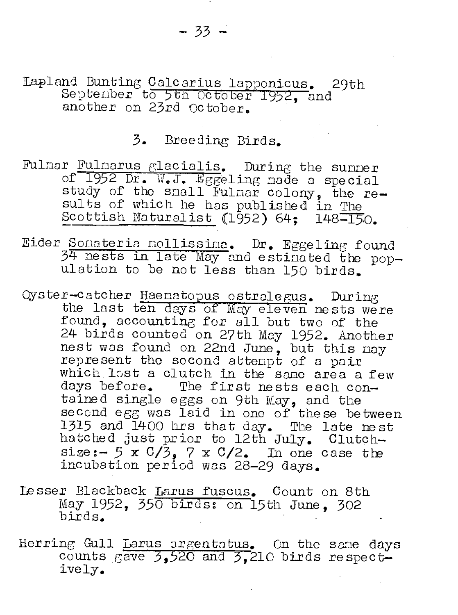$-33 -$ 

Lapland Bunting Calcarius lapponicus. 29th September to 5th October 1952, and another on 23rd October.

# 3. Breeding Birds.

- Fulmar Fulmarus glacialis. During the summer of 1952 Dr. W.J. Eggeling nade a special study of the snall Fulmar colony, the re-<br>sults of which he has published in The Scottish Naturalist (1952) 64; 148-150.
- Eider Sonateria nollissina. Dr. Eggeling found 34 nests in late May and estinated the population to be not less than 150 birds.
- Oyster-catcher Haenatopus ostralegus. During the last ten days of May eleven nests were found, accounting for all but two of the 24 birds counted on 27th May 1952. Another nest was found on 22nd June, but this may represent the second attempt of a pair which lost a clutch in the same area a few days before. The first nests each contained single eggs on 9th May, and the second egg was laid in one of these between 1315 and 1400 hrs that day. The late nest hatched just prior to 12th July. Clutchsize:  $-5 \times \frac{C}{3}$ , 7 x C/2. In one case the incubation period was 28-29 days.
- Lesser Blackback Larus fuscus. Count on 8th May 1952, 350 birds: on 15th June, 302 birds.
- Herring Gull Larus orgentatus. On the same days<br>counts  $g$ ave  $3,520$  and  $3,210$  birds respectively.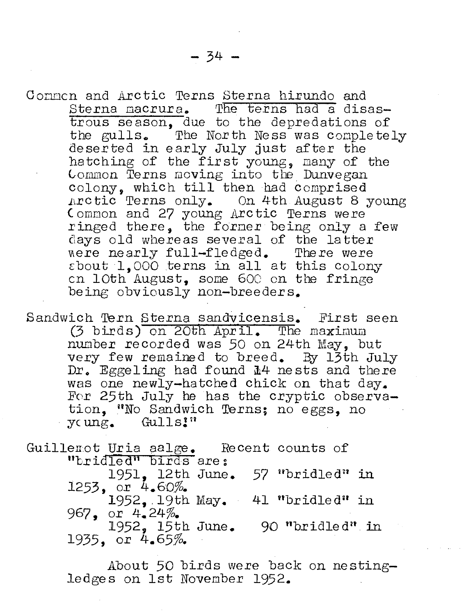Connen and Arctic Terns Sterna hirundo and Sterna macrura. The terns had a disastrous season, due to the depredations of the gulls. The North Ness was completely deserted in early July just after the hatching of the first young, many of the Common Terns moving into the Dunvegan colony, which till then had comprised  $\text{Arctic}$  Terns only. On 4th August 8 young (ommon and 27 young Arctic Terns were ringed there, the former being only a few days old whereas several of the latter<br>were nearly full-fledged. There were were nearly full-fledged.  $\epsilon$ bout 1,000 terns in all at this colony en loth August, some 60C on tbe fringe being obviously non-breeders.

Sandwich Tern Sterna sandvicensis. First seen  $(3 \text{ birds})$  on 20th April. The maximum number recorded was 50 on 24th May, but very few remained to breed. By 13th July Dr. Eggeling had found  $\mathbb{I}^4$  nests and there was one newly-hatched chick on that day. For 25th July he has the cryptic observation, UNo Sandwich Terns; no eggs, no young. Gulls!"

Guillemot Uria aalge. Recent counts of "bridled" birds are: 1951. 12th June. 57 "bridled" in 1253, or  $4.60\%$ . 1952, 19th May.  $41$  "bridled" in 967, or **4.24%.**   $1952$ ,  $15th$  June. 90 "bridled" in 1935, or  $4.65\%$ .

> About 50 birds were back on nestingledges on 1st November 1952.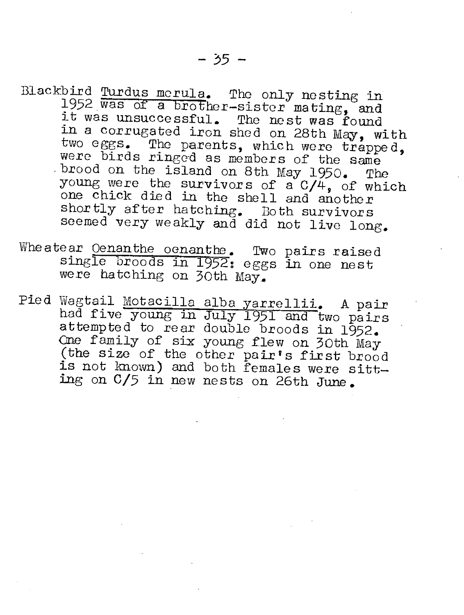- Blackbird Turdus morula. The only nesting in 1952 was of a brother-sister mating, and it was unsuccessful. The nest was found in a corrugated iron shed on 28th May, with two eggs. The parents, which were trapped, were birds ringed as members of the same were birds ringed as members of the same<br>brood on the island on 8th May 1950. The young were the survivors of a C/4, of which one chick died in the shell and another shortly after hatching. Both survivors seemed very weakly and did not live long.
- Wheatear Oenanthe oenanthe. Two pairs raised single broods in 1952; eggs in one nest were hatching on 30th May.
- Pied Wagtail Motacilla alba yarrellii. A pair had five young in July 1951 and two pairs attempted to rear double broods in 1952. One family of six young flew on 30th May (the size of the other pair's first brood is not known) and both females were sitting on C/5 in new nests on 26th June.